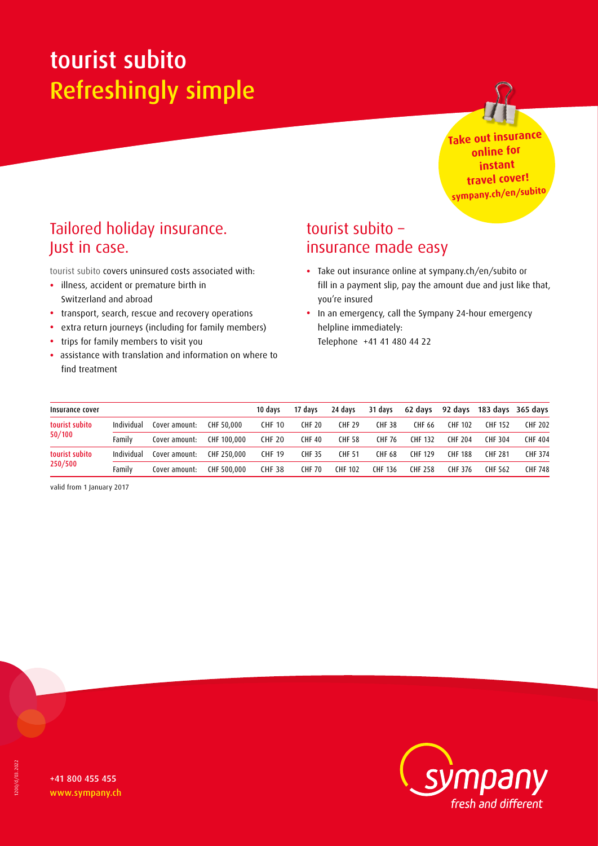# tourist subito Refreshingly simple



**Take out insurance online for instant travel cover! sympany.ch/en/subito**

# Tailored holiday insurance. Just in case.

tourist subito covers uninsured costs associated with:

- illness, accident or premature birth in Switzerland and abroad
- transport, search, rescue and recovery operations
- extra return journeys (including for family members)
- trips for family members to visit you
- assistance with translation and information on where to find treatment

## tourist subito – insurance made easy

- Take out insurance online at sympany.ch/en/subito or fill in a payment slip, pay the amount due and just like that, you're insured
- In an emergency, call the Sympany 24-hour emergency helpline immediately: Telephone +41 41 480 44 22

| Insurance cover           |            |               |             | 10 davs       | 17 davs       | 24 davs        | 31 days       | 62 days        | 92 days        |                | 183 days 365 days |
|---------------------------|------------|---------------|-------------|---------------|---------------|----------------|---------------|----------------|----------------|----------------|-------------------|
| tourist subito<br>50/100  | Individual | Cover amount: | CHF 50,000  | <b>CHF 10</b> | <b>CHF 20</b> | <b>CHF 29</b>  | <b>CHF38</b>  | CHF 66         | CHF 102        | <b>CHF 152</b> | <b>CHF 202</b>    |
|                           | Familv     | Cover amount: | CHF 100,000 | <b>CHF 20</b> | <b>CHF 40</b> | <b>CHF 58</b>  | <b>CHF 76</b> | <b>CHF 132</b> | <b>CHF 204</b> | <b>CHF 304</b> | <b>CHF 404</b>    |
| tourist subito<br>250/500 | Individual | Cover amount: | CHF 250,000 | <b>CHF 19</b> | <b>CHF 35</b> | CHF 51         | CHF 68        | <b>CHF 129</b> | <b>CHF 188</b> | <b>CHF 281</b> | <b>CHF 374</b>    |
|                           | Familv     | Cover amount: | CHF 500,000 | <b>CHF 38</b> | <b>CHF 70</b> | <b>CHF 102</b> | CHF 136       | <b>CHF 258</b> | CHF 376        | CHF 562        | <b>CHF 748</b>    |

valid from 1 January 2017

+41 800 455 455 www.sympany.ch

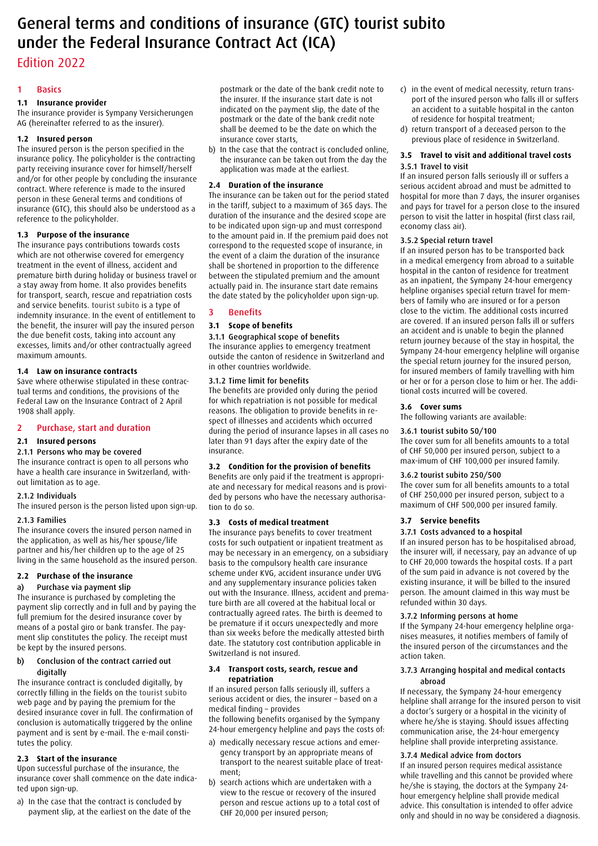# General terms and conditions of insurance (GTC) tourist subito under the Federal Insurance Contract Act (ICA)

### Edition 2022

#### 1 Basics

#### **1.1 Insurance provider**

The insurance provider is Sympany Versicherungen AG (hereinafter referred to as the insurer).

#### **1.2 Insured person**

The insured person is the person specified in the insurance policy. The policyholder is the contracting party receiving insurance cover for himself/herself and/or for other people by concluding the insurance contract. Where reference is made to the insured person in these General terms and conditions of insurance (GTC), this should also be understood as a reference to the policyholder.

#### **1.3 Purpose of the insurance**

The insurance pays contributions towards costs which are not otherwise covered for emergency treatment in the event of illness, accident and premature birth during holiday or business travel or a stay away from home. It also provides benefits for transport, search, rescue and repatriation costs and service benefits. tourist subito is a type of indemnity insurance. In the event of entitlement to the benefit, the insurer will pay the insured person the due benefit costs, taking into account any excesses, limits and/or other contractually agreed maximum amounts.

#### **1.4 Law on insurance contracts**

Save where otherwise stipulated in these contractual terms and conditions, the provisions of the Federal Law on the Insurance Contract of 2 April 1908 shall apply.

#### 2 Purchase, start and duration

#### **2.1 Insured persons**

#### 2.1.1 Persons who may be covered

The insurance contract is open to all persons who have a health care insurance in Switzerland, without limitation as to age.

### 2.1.2 Individuals

The insured person is the person listed upon sign-up.

#### 2.1.3 Families

The insurance covers the insured person named in the application, as well as his/her spouse/life partner and his/her children up to the age of 25 living in the same household as the insured person.

#### **2.2 Purchase of the insurance**

#### a) Purchase via payment slip

The insurance is purchased by completing the payment slip correctly and in full and by paying the full premium for the desired insurance cover by means of a postal giro or bank transfer. The payment slip constitutes the policy. The receipt must be kept by the insured persons.

#### b) Conclusion of the contract carried out digitally

The insurance contract is concluded digitally, by correctly filling in the fields on the tourist subito web page and by paying the premium for the desired insurance cover in full. The confirmation of conclusion is automatically triggered by the online payment and is sent by e-mail. The e-mail constitutes the policy.

#### **2.3 Start of the insurance**

Upon successful purchase of the insurance, the insurance cover shall commence on the date indicated upon sign-up.

a) In the case that the contract is concluded by payment slip, at the earliest on the date of the

postmark or the date of the bank credit note to the insurer. If the insurance start date is not indicated on the payment slip, the date of the postmark or the date of the bank credit note shall be deemed to be the date on which the insurance cover starts,

b) In the case that the contract is concluded online, the insurance can be taken out from the day the application was made at the earliest.

#### **2.4 Duration of the insurance**

The insurance can be taken out for the period stated in the tariff, subject to a maximum of 365 days. The duration of the insurance and the desired scope are to be indicated upon sign-up and must correspond to the amount paid in. If the premium paid does not correspond to the requested scope of insurance, in the event of a claim the duration of the insurance shall be shortened in proportion to the difference between the stipulated premium and the amount actually paid in. The insurance start date remains the date stated by the policyholder upon sign-up.

#### 3 Benefits

#### **3.1 Scope of benefits**

#### 3.1.1 Geographical scope of benefits

The insurance applies to emergency treatment outside the canton of residence in Switzerland and in other countries worldwide.

#### 3.1.2 Time limit for benefits

The benefits are provided only during the period for which repatriation is not possible for medical reasons. The obligation to provide benefits in respect of illnesses and accidents which occurred during the period of insurance lapses in all cases no later than 91 days after the expiry date of the insurance.

#### **3.2 Condition for the provision of benefits**

Benefits are only paid if the treatment is appropriate and necessary for medical reasons and is provided by persons who have the necessary authorisation to do so.

#### **3.3 Costs of medical treatment**

The insurance pays benefits to cover treatment costs for such outpatient or inpatient treatment as may be necessary in an emergency, on a subsidiary basis to the compulsory health care insurance scheme under KVG, accident insurance under UVG and any supplementary insurance policies taken out with the Insurance. Illness, accident and premature birth are all covered at the habitual local or contractually agreed rates. The birth is deemed to be premature if it occurs unexpectedly and more than six weeks before the medically attested birth date. The statutory cost contribution applicable in Switzerland is not insured.

#### **3.4 Transport costs, search, rescue and repatriation**

If an insured person falls seriously ill, suffers a serious accident or dies, the insurer – based on a medical finding – provides the following benefits organised by the Sympany 24-hour emergency helpline and pays the costs of:

- a) medically necessary rescue actions and emergency transport by an appropriate means of transport to the nearest suitable place of treatment;
- b) search actions which are undertaken with a view to the rescue or recovery of the insured person and rescue actions up to a total cost of CHF 20,000 per insured person;
- c) in the event of medical necessity, return transport of the insured person who falls ill or suffers an accident to a suitable hospital in the canton of residence for hospital treatment;
- d) return transport of a deceased person to the previous place of residence in Switzerland.

#### **3.5 Travel to visit and additional travel costs** 3.5.1 Travel to visit

If an insured person falls seriously ill or suffers a serious accident abroad and must be admitted to hospital for more than 7 days, the insurer organises and pays for travel for a person close to the insured person to visit the latter in hospital (first class rail, economy class air).

#### 3.5.2 Special return travel

If an insured person has to be transported back in a medical emergency from abroad to a suitable hospital in the canton of residence for treatment as an inpatient, the Sympany 24-hour emergency helpline organises special return travel for members of family who are insured or for a person close to the victim. The additional costs incurred are covered. If an insured person falls ill or suffers an accident and is unable to begin the planned return journey because of the stay in hospital, the Sympany 24-hour emergency helpline will organise the special return journey for the insured person, for insured members of family travelling with him or her or for a person close to him or her. The additional costs incurred will be covered.

#### **3.6 Cover sums**

The following variants are available:

#### 3.6.1 tourist subito 50/100

The cover sum for all benefits amounts to a total of CHF 50,000 per insured person, subject to a max-imum of CHF 100,000 per insured family.

#### 3.6.2 tourist subito 250/500

The cover sum for all benefits amounts to a total of CHF 250,000 per insured person, subject to a maximum of CHF 500,000 per insured family.

#### **3.7 Service benefits**

#### 3.7.1 Costs advanced to a hospital

If an insured person has to be hospitalised abroad, the insurer will, if necessary, pay an advance of up to CHF 20,000 towards the hospital costs. If a part of the sum paid in advance is not covered by the existing insurance, it will be billed to the insured person. The amount claimed in this way must be refunded within 30 days.

#### 3.7.2 Informing persons at home

If the Sympany 24-hour emergency helpline organises measures, it notifies members of family of the insured person of the circumstances and the action taken.

#### 3.7.3 Arranging hospital and medical contacts abroad

If necessary, the Sympany 24-hour emergency helpline shall arrange for the insured person to visit a doctor's surgery or a hospital in the vicinity of where he/she is staying. Should issues affecting communication arise, the 24-hour emergency helpline shall provide interpreting assistance.

#### 3.7.4 Medical advice from doctors

If an insured person requires medical assistance while travelling and this cannot be provided where he/she is staying, the doctors at the Sympany 24 hour emergency helpline shall provide medical advice. This consultation is intended to offer advice only and should in no way be considered a diagnosis.